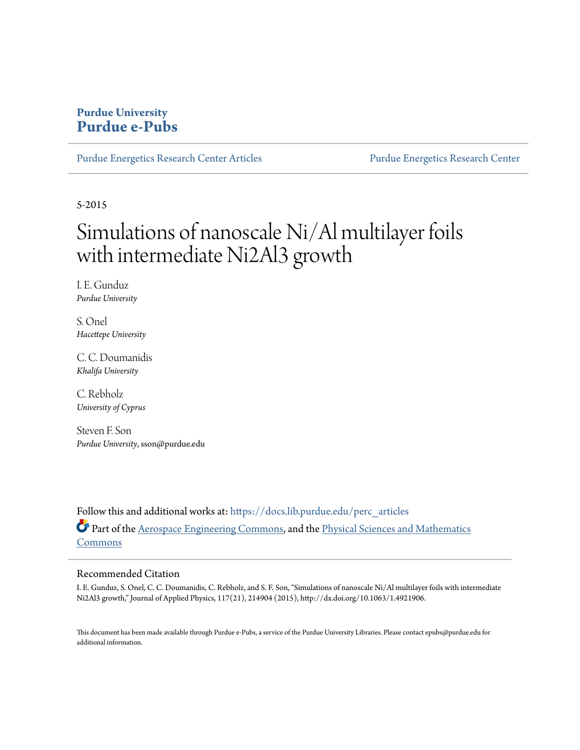## **Purdue University [Purdue e-Pubs](https://docs.lib.purdue.edu?utm_source=docs.lib.purdue.edu%2Fperc_articles%2F4&utm_medium=PDF&utm_campaign=PDFCoverPages)**

[Purdue Energetics Research Center Articles](https://docs.lib.purdue.edu/perc_articles?utm_source=docs.lib.purdue.edu%2Fperc_articles%2F4&utm_medium=PDF&utm_campaign=PDFCoverPages) [Purdue Energetics Research Center](https://docs.lib.purdue.edu/perc?utm_source=docs.lib.purdue.edu%2Fperc_articles%2F4&utm_medium=PDF&utm_campaign=PDFCoverPages)

5-2015

# Simulations of nanoscale Ni/Al multilayer foils with intermediate Ni2Al3 growth

I. E. Gunduz *Purdue University*

S. Onel *Hacettepe University*

C. C. Doumanidis *Khalifa University*

C. Rebholz *University of Cyprus*

Steven F. Son *Purdue University*, sson@purdue.edu

Follow this and additional works at: [https://docs.lib.purdue.edu/perc\\_articles](https://docs.lib.purdue.edu/perc_articles?utm_source=docs.lib.purdue.edu%2Fperc_articles%2F4&utm_medium=PDF&utm_campaign=PDFCoverPages) Part of the [Aerospace Engineering Commons](http://network.bepress.com/hgg/discipline/218?utm_source=docs.lib.purdue.edu%2Fperc_articles%2F4&utm_medium=PDF&utm_campaign=PDFCoverPages), and the [Physical Sciences and Mathematics](http://network.bepress.com/hgg/discipline/114?utm_source=docs.lib.purdue.edu%2Fperc_articles%2F4&utm_medium=PDF&utm_campaign=PDFCoverPages) [Commons](http://network.bepress.com/hgg/discipline/114?utm_source=docs.lib.purdue.edu%2Fperc_articles%2F4&utm_medium=PDF&utm_campaign=PDFCoverPages)

### Recommended Citation

I. E. Gunduz, S. Onel, C. C. Doumanidis, C. Rebholz, and S. F. Son, "Simulations of nanoscale Ni/Al multilayer foils with intermediate Ni2Al3 growth," Journal of Applied Physics, 117(21), 214904 (2015), http://dx.doi.org/10.1063/1.4921906.

This document has been made available through Purdue e-Pubs, a service of the Purdue University Libraries. Please contact epubs@purdue.edu for additional information.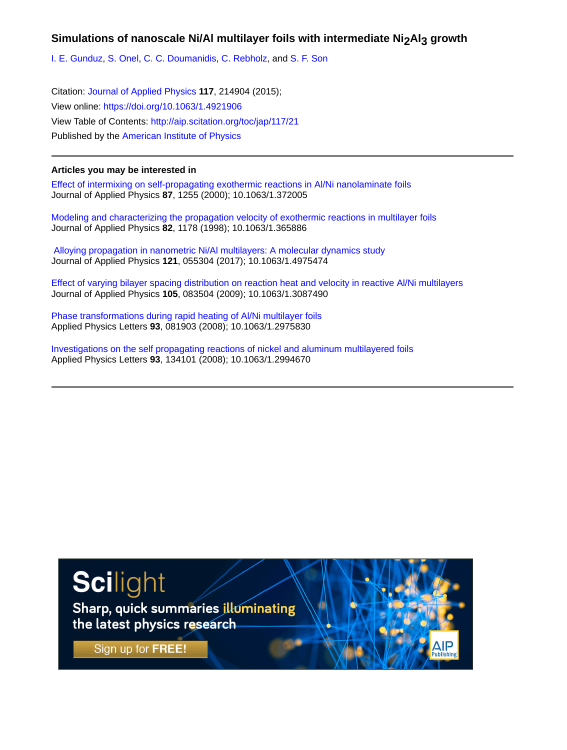## Simulations of nanoscale Ni/AI multilayer foils with intermediate Ni<sub>2</sub>Al<sub>3</sub> growth

[I. E. Gunduz,](http://aip.scitation.org/author/Gunduz%2C+I+E) [S. Onel,](http://aip.scitation.org/author/Onel%2C+S) [C. C. Doumanidis,](http://aip.scitation.org/author/Doumanidis%2C+C+C) [C. Rebholz,](http://aip.scitation.org/author/Rebholz%2C+C) and [S. F. Son](http://aip.scitation.org/author/Son%2C+S+F)

Citation: [Journal of Applied Physics](/loi/jap) **117**, 214904 (2015); View online: <https://doi.org/10.1063/1.4921906> View Table of Contents: <http://aip.scitation.org/toc/jap/117/21> Published by the [American Institute of Physics](http://aip.scitation.org/publisher/)

#### **Articles you may be interested in**

[Effect of intermixing on self-propagating exothermic reactions in Al/Ni nanolaminate foils](http://aip.scitation.org/doi/abs/10.1063/1.372005) Journal of Applied Physics **87**, 1255 (2000); 10.1063/1.372005

[Modeling and characterizing the propagation velocity of exothermic reactions in multilayer foils](http://aip.scitation.org/doi/abs/10.1063/1.365886) Journal of Applied Physics **82**, 1178 (1998); 10.1063/1.365886

 [Alloying propagation in nanometric Ni/Al multilayers: A molecular dynamics study](http://aip.scitation.org/doi/abs/10.1063/1.4975474) Journal of Applied Physics **121**, 055304 (2017); 10.1063/1.4975474

[Effect of varying bilayer spacing distribution on reaction heat and velocity in reactive Al/Ni multilayers](http://aip.scitation.org/doi/abs/10.1063/1.3087490) Journal of Applied Physics **105**, 083504 (2009); 10.1063/1.3087490

[Phase transformations during rapid heating of Al/Ni multilayer foils](http://aip.scitation.org/doi/abs/10.1063/1.2975830) Applied Physics Letters **93**, 081903 (2008); 10.1063/1.2975830

[Investigations on the self propagating reactions of nickel and aluminum multilayered foils](http://aip.scitation.org/doi/abs/10.1063/1.2994670) Applied Physics Letters **93**, 134101 (2008); 10.1063/1.2994670

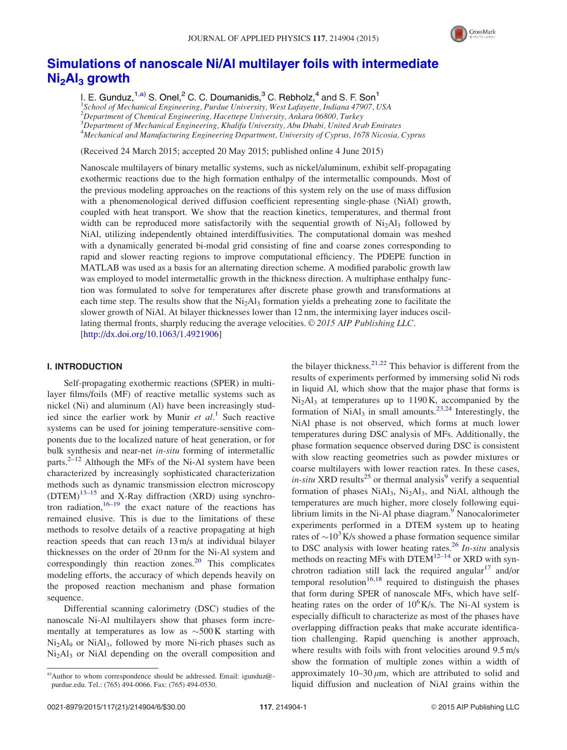

# [Simulations of nanoscale Ni/Al multilayer foils with intermediate](http://dx.doi.org/10.1063/1.4921906) Ni<sub>2</sub>Al<sub>3</sub> [growth](http://dx.doi.org/10.1063/1.4921906)

I. E. Gunduz,  $1, a)$  S. Onel, <sup>2</sup> C. C. Doumanidis,  $3^3$  C. Rebholz,  $4^4$  and S. F. Son<sup>1</sup> <sup>1</sup>School of Mechanical Engineering, Purdue University, West Lafayette, Indiana 47907, USA 2 Department of Chemical Engineering, Hacettepe University, Ankara 06800, Turkey  $^3$ Department of Mechanical Engineering, Khalifa University, Abu Dhabi, United Arab Emirates 4 Mechanical and Manufacturing Engineering Department, University of Cyprus, 1678 Nicosia, Cyprus

(Received 24 March 2015; accepted 20 May 2015; published online 4 June 2015)

Nanoscale multilayers of binary metallic systems, such as nickel/aluminum, exhibit self-propagating exothermic reactions due to the high formation enthalpy of the intermetallic compounds. Most of the previous modeling approaches on the reactions of this system rely on the use of mass diffusion with a phenomenological derived diffusion coefficient representing single-phase (NiAl) growth, coupled with heat transport. We show that the reaction kinetics, temperatures, and thermal front width can be reproduced more satisfactorily with the sequential growth of Ni<sub>2</sub>Al<sub>3</sub> followed by NiAl, utilizing independently obtained interdiffusivities. The computational domain was meshed with a dynamically generated bi-modal grid consisting of fine and coarse zones corresponding to rapid and slower reacting regions to improve computational efficiency. The PDEPE function in MATLAB was used as a basis for an alternating direction scheme. A modified parabolic growth law was employed to model intermetallic growth in the thickness direction. A multiphase enthalpy function was formulated to solve for temperatures after discrete phase growth and transformations at each time step. The results show that the  $Ni<sub>2</sub>Al<sub>3</sub>$  formation yields a preheating zone to facilitate the slower growth of NiAl. At bilayer thicknesses lower than 12 nm, the intermixing layer induces oscillating thermal fronts, sharply reducing the average velocities.  $\odot$  2015 AIP Publishing LLC. [\[http://dx.doi.org/10.1063/1.4921906](http://dx.doi.org/10.1063/1.4921906)]

#### I. INTRODUCTION

Self-propagating exothermic reactions (SPER) in multilayer films/foils (MF) of reactive metallic systems such as nickel (Ni) and aluminum (Al) have been increasingly studied since the earlier work by Munir et  $al$ .<sup>[1](#page-7-0)</sup> Such reactive systems can be used for joining temperature-sensitive components due to the localized nature of heat generation, or for bulk synthesis and near-net in-situ forming of intermetallic parts. $2-12$  Although the MFs of the Ni-Al system have been characterized by increasingly sophisticated characterization methods such as dynamic transmission electron microscopy  $(DTEM)^{13-15}$  and X-Ray diffraction (XRD) using synchrotron radiation,  $16-19$  the exact nature of the reactions has remained elusive. This is due to the limitations of these methods to resolve details of a reactive propagating at high reaction speeds that can reach 13 m/s at individual bilayer thicknesses on the order of 20 nm for the Ni-Al system and correspondingly thin reaction zones. $20$  This complicates modeling efforts, the accuracy of which depends heavily on the proposed reaction mechanism and phase formation sequence.

Differential scanning calorimetry (DSC) studies of the nanoscale Ni-Al multilayers show that phases form incrementally at temperatures as low as  $\sim$ 500K starting with Ni<sub>2</sub>Al<sub>9</sub> or NiAl<sub>3</sub>, followed by more Ni-rich phases such as Ni<sub>2</sub>Al<sub>3</sub> or NiAl depending on the overall composition and the bilayer thickness.  $2^{1,22}$  This behavior is different from the results of experiments performed by immersing solid Ni rods in liquid Al, which show that the major phase that forms is Ni2Al3 at temperatures up to 1190 K, accompanied by the formation of  $NiAl<sub>3</sub>$  in small amounts.<sup>23,24</sup> Interestingly, the NiAl phase is not observed, which forms at much lower temperatures during DSC analysis of MFs. Additionally, the phase formation sequence observed during DSC is consistent with slow reacting geometries such as powder mixtures or coarse multilayers with lower reaction rates. In these cases, in-situ XRD results<sup>[25](#page-7-0)</sup> or thermal analysis<sup>[9](#page-7-0)</sup> verify a sequential formation of phases  $NiAl<sub>3</sub>$ ,  $Ni<sub>2</sub>Al<sub>3</sub>$ , and  $NiAl$ , although the temperatures are much higher, more closely following equilibrium limits in the Ni-Al phase diagram. $9$  Nanocalorimeter experiments performed in a DTEM system up to heating rates of  $\sim 10^3$ K/s showed a phase formation sequence similar to DSC analysis with lower heating rates.<sup>[26](#page-7-0)</sup> In-situ analysis methods on reacting MFs with DTEM $^{12-14}$  or XRD with syn-chrotron radiation still lack the required angular<sup>[17](#page-7-0)</sup> and/or temporal resolution<sup>[16,18](#page-7-0)</sup> required to distinguish the phases that form during SPER of nanoscale MFs, which have selfheating rates on the order of  $10^6$ K/s. The Ni-Al system is especially difficult to characterize as most of the phases have overlapping diffraction peaks that make accurate identification challenging. Rapid quenching is another approach, where results with foils with front velocities around 9.5 m/s show the formation of multiple zones within a width of approximately  $10-30 \mu m$ , which are attributed to solid and liquid diffusion and nucleation of NiAl grains within the

<sup>&</sup>lt;sup>a)</sup>Author to whom correspondence should be addressed. Email: [igunduz@](mailto:igunduz@purdue.edu) [purdue.edu](mailto:igunduz@purdue.edu). Tel.: (765) 494-0066. Fax: (765) 494-0530.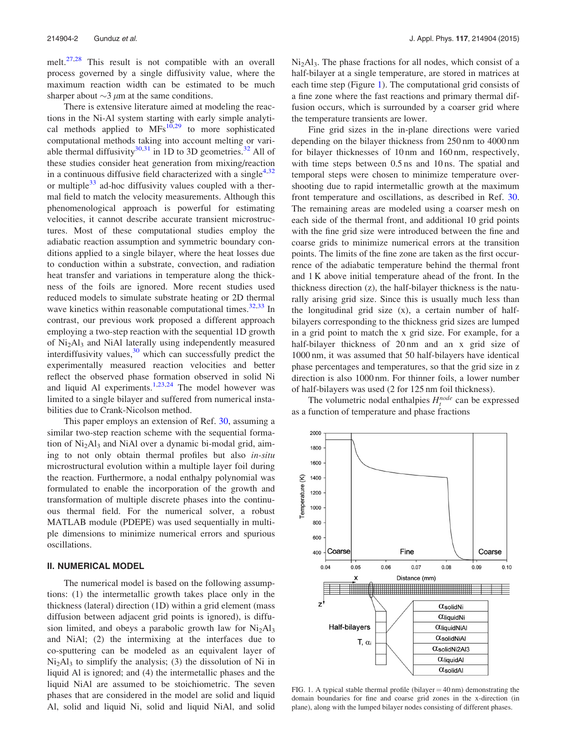<span id="page-3-0"></span>melt.<sup>[27,28](#page-7-0)</sup> This result is not compatible with an overall process governed by a single diffusivity value, where the maximum reaction width can be estimated to be much sharper about  $\sim$ 3  $\mu$ m at the same conditions.

There is extensive literature aimed at modeling the reactions in the Ni-Al system starting with early simple analytical methods applied to  $MFs^{10,29}$  $MFs^{10,29}$  $MFs^{10,29}$  to more sophisticated computational methods taking into account melting or variable thermal diffusivity $30,31$  in 1D to 3D geometries.<sup>[32](#page-7-0)</sup> All of these studies consider heat generation from mixing/reaction in a continuous diffusive field characterized with a single<sup>[4,32](#page-7-0)</sup> or multiple $33$  ad-hoc diffusivity values coupled with a thermal field to match the velocity measurements. Although this phenomenological approach is powerful for estimating velocities, it cannot describe accurate transient microstructures. Most of these computational studies employ the adiabatic reaction assumption and symmetric boundary conditions applied to a single bilayer, where the heat losses due to conduction within a substrate, convection, and radiation heat transfer and variations in temperature along the thickness of the foils are ignored. More recent studies used reduced models to simulate substrate heating or 2D thermal wave kinetics within reasonable computational times. $32,33$  In contrast, our previous work proposed a different approach employing a two-step reaction with the sequential 1D growth of Ni2Al3 and NiAl laterally using independently measured interdiffusivity values,  $30$  which can successfully predict the experimentally measured reaction velocities and better reflect the observed phase formation observed in solid Ni and liquid Al experiments.<sup>[1,23,24](#page-7-0)</sup> The model however was limited to a single bilayer and suffered from numerical instabilities due to Crank-Nicolson method.

This paper employs an extension of Ref. [30](#page-7-0), assuming a similar two-step reaction scheme with the sequential formation of  $Ni<sub>2</sub>Al<sub>3</sub>$  and NiAl over a dynamic bi-modal grid, aiming to not only obtain thermal profiles but also in-situ microstructural evolution within a multiple layer foil during the reaction. Furthermore, a nodal enthalpy polynomial was formulated to enable the incorporation of the growth and transformation of multiple discrete phases into the continuous thermal field. For the numerical solver, a robust MATLAB module (PDEPE) was used sequentially in multiple dimensions to minimize numerical errors and spurious oscillations.

#### II. NUMERICAL MODEL

The numerical model is based on the following assumptions: (1) the intermetallic growth takes place only in the thickness (lateral) direction (1D) within a grid element (mass diffusion between adjacent grid points is ignored), is diffusion limited, and obeys a parabolic growth law for  $Ni<sub>2</sub>Al<sub>3</sub>$ and NiAl; (2) the intermixing at the interfaces due to co-sputtering can be modeled as an equivalent layer of  $Ni<sub>2</sub>Al<sub>3</sub>$  to simplify the analysis; (3) the dissolution of Ni in liquid Al is ignored; and (4) the intermetallic phases and the liquid NiAl are assumed to be stoichiometric. The seven phases that are considered in the model are solid and liquid Al, solid and liquid Ni, solid and liquid NiAl, and solid  $Ni<sub>2</sub>Al<sub>3</sub>$ . The phase fractions for all nodes, which consist of a half-bilayer at a single temperature, are stored in matrices at each time step (Figure 1). The computational grid consists of a fine zone where the fast reactions and primary thermal diffusion occurs, which is surrounded by a coarser grid where the temperature transients are lower.

Fine grid sizes in the in-plane directions were varied depending on the bilayer thickness from 250 nm to 4000 nm for bilayer thicknesses of 10 nm and 160 nm, respectively, with time steps between 0.5 ns and 10 ns. The spatial and temporal steps were chosen to minimize temperature overshooting due to rapid intermetallic growth at the maximum front temperature and oscillations, as described in Ref. [30](#page-7-0). The remaining areas are modeled using a coarser mesh on each side of the thermal front, and additional 10 grid points with the fine grid size were introduced between the fine and coarse grids to minimize numerical errors at the transition points. The limits of the fine zone are taken as the first occurrence of the adiabatic temperature behind the thermal front and 1 K above initial temperature ahead of the front. In the thickness direction (z), the half-bilayer thickness is the naturally arising grid size. Since this is usually much less than the longitudinal grid size (x), a certain number of halfbilayers corresponding to the thickness grid sizes are lumped in a grid point to match the x grid size. For example, for a half-bilayer thickness of 20 nm and an x grid size of 1000 nm, it was assumed that 50 half-bilayers have identical phase percentages and temperatures, so that the grid size in z direction is also 1000 nm. For thinner foils, a lower number of half-bilayers was used (2 for 125 nm foil thickness).

The volumetric nodal enthalpies  $H_t^{node}$  can be expressed as a function of temperature and phase fractions



FIG. 1. A typical stable thermal profile (bilayer  $=$  40 nm) demonstrating the domain boundaries for fine and coarse grid zones in the x-direction (in plane), along with the lumped bilayer nodes consisting of different phases.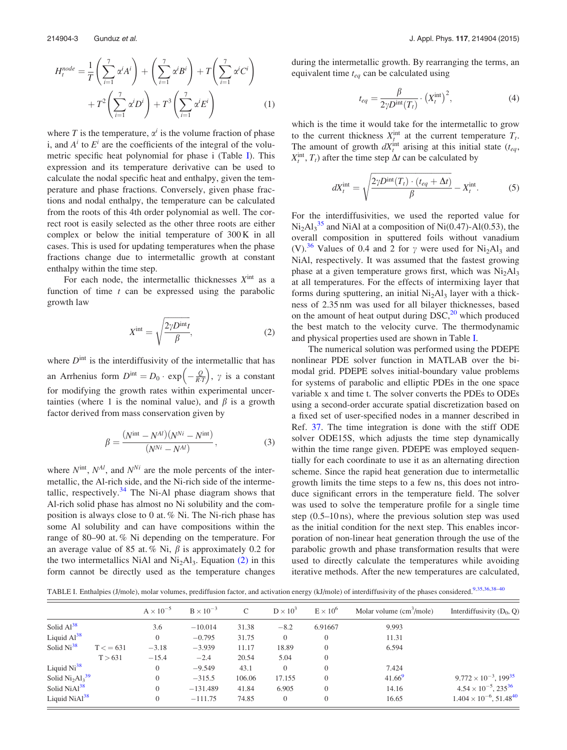<span id="page-4-0"></span>
$$
H_t^{node} = \frac{1}{T} \left( \sum_{i=1}^7 \alpha^i A^i \right) + \left( \sum_{i=1}^7 \alpha^i B^i \right) + T \left( \sum_{i=1}^7 \alpha^i C^i \right) + T^2 \left( \sum_{i=1}^7 \alpha^i D^i \right) + T^3 \left( \sum_{i=1}^7 \alpha^i E^i \right) \tag{1}
$$

where T is the temperature,  $\alpha^{i}$  is the volume fraction of phase i, and  $A^i$  to  $E^i$  are the coefficients of the integral of the volumetric specific heat polynomial for phase i (Table I). This expression and its temperature derivative can be used to calculate the nodal specific heat and enthalpy, given the temperature and phase fractions. Conversely, given phase fractions and nodal enthalpy, the temperature can be calculated from the roots of this 4th order polynomial as well. The correct root is easily selected as the other three roots are either complex or below the initial temperature of 300 K in all cases. This is used for updating temperatures when the phase fractions change due to intermetallic growth at constant enthalpy within the time step.

For each node, the intermetallic thicknesses  $X<sup>int</sup>$  as a function of time  $t$  can be expressed using the parabolic growth law

$$
X^{\text{int}} = \sqrt{\frac{2\gamma D^{\text{int}}t}{\beta}},\tag{2}
$$

where  $D<sup>int</sup>$  is the interdiffusivity of the intermetallic that has an Arrhenius form  $D^{\text{int}} = D_0 \cdot \exp\left(-\frac{Q}{R \cdot T}\right)$ ,  $\gamma$  is a constant for modifying the growth rates within experimental uncertainties (where 1 is the nominal value), and  $\beta$  is a growth factor derived from mass conservation given by

$$
\beta = \frac{(N^{\text{int}} - N^{Al})(N^{Ni} - N^{\text{int}})}{(N^{Ni} - N^{Al})},
$$
\n(3)

where  $N^{int}$ ,  $N^{Al}$ , and  $N^{Ni}$  are the mole percents of the intermetallic, the Al-rich side, and the Ni-rich side of the interme-tallic, respectively.<sup>[34](#page-7-0)</sup> The Ni-Al phase diagram shows that Al-rich solid phase has almost no Ni solubility and the composition is always close to 0 at. % Ni. The Ni-rich phase has some Al solubility and can have compositions within the range of 80–90 at. % Ni depending on the temperature. For an average value of 85 at. % Ni,  $\beta$  is approximately 0.2 for the two intermetallics NiAl and Ni<sub>2</sub>Al<sub>3</sub>. Equation  $(2)$  in this form cannot be directly used as the temperature changes during the intermetallic growth. By rearranging the terms, an equivalent time  $t_{eq}$  can be calculated using

$$
t_{eq} = \frac{\beta}{2\gamma D^{\text{int}}(T_t)} \cdot \left(X_t^{\text{int}}\right)^2,\tag{4}
$$

which is the time it would take for the intermetallic to grow to the current thickness  $X_j^{\text{int}}$  at the current temperature  $T_t$ . The amount of growth  $dX_t^{\text{int}}$  arising at this initial state  $(t_{eq},$  $X_t^{\text{int}}$ ,  $T_t$ ) after the time step  $\Delta t$  can be calculated by

$$
dX_t^{\text{int}} = \sqrt{\frac{2\gamma D^{\text{int}}(T_t) \cdot (t_{eq} + \Delta t)}{\beta}} - X_t^{\text{int}}.
$$
 (5)

For the interdiffusivities, we used the reported value for  $Ni<sub>2</sub>Al<sub>3</sub><sup>35</sup>$  $Ni<sub>2</sub>Al<sub>3</sub><sup>35</sup>$  $Ni<sub>2</sub>Al<sub>3</sub><sup>35</sup>$  and NiAl at a composition of Ni(0.47)-Al(0.53), the overall composition in sputtered foils without vanadium (V).<sup>[36](#page-7-0)</sup> Values of 0.4 and 2 for  $\gamma$  were used for Ni<sub>2</sub>Al<sub>3</sub> and NiAl, respectively. It was assumed that the fastest growing phase at a given temperature grows first, which was  $Ni<sub>2</sub>Al<sub>3</sub>$ at all temperatures. For the effects of intermixing layer that forms during sputtering, an initial  $Ni<sub>2</sub>Al<sub>3</sub>$  layer with a thickness of 2.35 nm was used for all bilayer thicknesses, based on the amount of heat output during  $DSC<sub>1</sub><sup>20</sup>$  $DSC<sub>1</sub><sup>20</sup>$  $DSC<sub>1</sub><sup>20</sup>$  which produced the best match to the velocity curve. The thermodynamic and physical properties used are shown in Table I.

The numerical solution was performed using the PDEPE nonlinear PDE solver function in MATLAB over the bimodal grid. PDEPE solves initial-boundary value problems for systems of parabolic and elliptic PDEs in the one space variable x and time t. The solver converts the PDEs to ODEs using a second-order accurate spatial discretization based on a fixed set of user-specified nodes in a manner described in Ref. [37.](#page-7-0) The time integration is done with the stiff ODE solver ODE15S, which adjusts the time step dynamically within the time range given. PDEPE was employed sequentially for each coordinate to use it as an alternating direction scheme. Since the rapid heat generation due to intermetallic growth limits the time steps to a few ns, this does not introduce significant errors in the temperature field. The solver was used to solve the temperature profile for a single time step (0.5–10 ns), where the previous solution step was used as the initial condition for the next step. This enables incorporation of non-linear heat generation through the use of the parabolic growth and phase transformation results that were used to directly calculate the temperatures while avoiding iterative methods. After the new temperatures are calculated,

TABLE I. Enthalpies (J/mole), molar volumes, prediffusion factor, and activation energy (kJ/mole) of interdiffusivity of the phases considered.<sup>[9,35](#page-7-0),36,38-40</sup>

|                           |         | $A \times 10^{-5}$ | $B \times 10^{-3}$ | $\mathcal{C}$ | $D \times 10^3$ | $E \times 10^6$ | Molar volume $\text{cm}^3/\text{mole}$ ) | Interdiffusivity $(D_0, Q)$                  |
|---------------------------|---------|--------------------|--------------------|---------------|-----------------|-----------------|------------------------------------------|----------------------------------------------|
| Solid $Al^{38}$           |         | 3.6                | $-10.014$          | 31.38         | $-8.2$          | 6.91667         | 9.993                                    |                                              |
| Liquid $Al^{38}$          |         | $\Omega$           | $-0.795$           | 31.75         | $\overline{0}$  | $\theta$        | 11.31                                    |                                              |
| Solid $Ni38$              | T < 631 | $-3.18$            | $-3.939$           | 11.17         | 18.89           | $\theta$        | 6.594                                    |                                              |
|                           | T > 631 | $-15.4$            | $-2.4$             | 20.54         | 5.04            | $\mathbf{0}$    |                                          |                                              |
| Liquid $Ni38$             |         | $\theta$           | $-9.549$           | 43.1          | $\overline{0}$  | $\theta$        | 7.424                                    |                                              |
| Solid $Ni2Al339$          |         | $\Omega$           | $-315.5$           | 106.06        | 17.155          | $\theta$        | $41.66^9$                                | $9.772 \times 10^{-3}$ , 199 <sup>35</sup>   |
| Solid Ni $Al^{38}$        |         | $\Omega$           | $-131.489$         | 41.84         | 6.905           | $\theta$        | 14.16                                    | $4.54 \times 10^{-5}$ , 235 <sup>36</sup>    |
| Liquid NiAl <sup>38</sup> |         | $\theta$           | $-111.75$          | 74.85         | $\Omega$        | $\theta$        | 16.65                                    | $1.404 \times 10^{-6}$ , 51.48 <sup>40</sup> |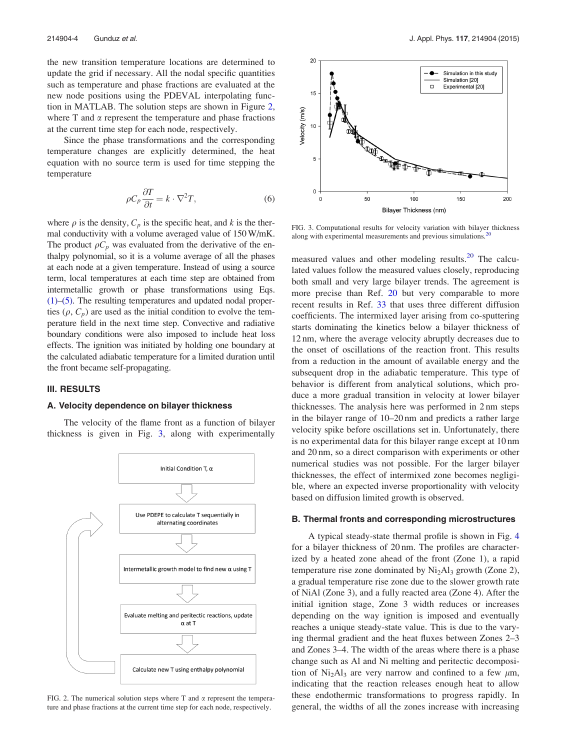<span id="page-5-0"></span>the new transition temperature locations are determined to update the grid if necessary. All the nodal specific quantities such as temperature and phase fractions are evaluated at the new node positions using the PDEVAL interpolating function in MATLAB. The solution steps are shown in Figure 2, where  $T$  and  $\alpha$  represent the temperature and phase fractions at the current time step for each node, respectively.

Since the phase transformations and the corresponding temperature changes are explicitly determined, the heat equation with no source term is used for time stepping the temperature

$$
\rho C_p \frac{\partial T}{\partial t} = k \cdot \nabla^2 T,\tag{6}
$$

where  $\rho$  is the density,  $C_p$  is the specific heat, and k is the thermal conductivity with a volume averaged value of 150W/mK. The product  $\rho C_p$  was evaluated from the derivative of the enthalpy polynomial, so it is a volume average of all the phases at each node at a given temperature. Instead of using a source term, local temperatures at each time step are obtained from intermetallic growth or phase transformations using Eqs. [\(1\)](#page-3-0)[–\(5\)](#page-4-0). The resulting temperatures and updated nodal properties  $(\rho, C_n)$  are used as the initial condition to evolve the temperature field in the next time step. Convective and radiative boundary conditions were also imposed to include heat loss effects. The ignition was initiated by holding one boundary at the calculated adiabatic temperature for a limited duration until the front became self-propagating.

#### III. RESULTS

#### A. Velocity dependence on bilayer thickness

The velocity of the flame front as a function of bilayer thickness is given in Fig. 3, along with experimentally



FIG. 2. The numerical solution steps where T and  $\alpha$  represent the temperature and phase fractions at the current time step for each node, respectively.



FIG. 3. Computational results for velocity variation with bilayer thickness along with experimental measurements and previous simulations.<sup>2</sup>

measured values and other modeling results.<sup>[20](#page-7-0)</sup> The calculated values follow the measured values closely, reproducing both small and very large bilayer trends. The agreement is more precise than Ref. [20](#page-7-0) but very comparable to more recent results in Ref. [33](#page-7-0) that uses three different diffusion coefficients. The intermixed layer arising from co-sputtering starts dominating the kinetics below a bilayer thickness of 12 nm, where the average velocity abruptly decreases due to the onset of oscillations of the reaction front. This results from a reduction in the amount of available energy and the subsequent drop in the adiabatic temperature. This type of behavior is different from analytical solutions, which produce a more gradual transition in velocity at lower bilayer thicknesses. The analysis here was performed in 2 nm steps in the bilayer range of 10–20 nm and predicts a rather large velocity spike before oscillations set in. Unfortunately, there is no experimental data for this bilayer range except at 10 nm and 20 nm, so a direct comparison with experiments or other numerical studies was not possible. For the larger bilayer thicknesses, the effect of intermixed zone becomes negligible, where an expected inverse proportionality with velocity based on diffusion limited growth is observed.

#### B. Thermal fronts and corresponding microstructures

A typical steady-state thermal profile is shown in Fig. [4](#page-6-0) for a bilayer thickness of 20 nm. The profiles are characterized by a heated zone ahead of the front (Zone 1), a rapid temperature rise zone dominated by  $Ni<sub>2</sub>Al<sub>3</sub>$  growth (Zone 2), a gradual temperature rise zone due to the slower growth rate of NiAl (Zone 3), and a fully reacted area (Zone 4). After the initial ignition stage, Zone 3 width reduces or increases depending on the way ignition is imposed and eventually reaches a unique steady-state value. This is due to the varying thermal gradient and the heat fluxes between Zones 2–3 and Zones 3–4. The width of the areas where there is a phase change such as Al and Ni melting and peritectic decomposition of Ni<sub>2</sub>Al<sub>3</sub> are very narrow and confined to a few  $\mu$ m, indicating that the reaction releases enough heat to allow these endothermic transformations to progress rapidly. In general, the widths of all the zones increase with increasing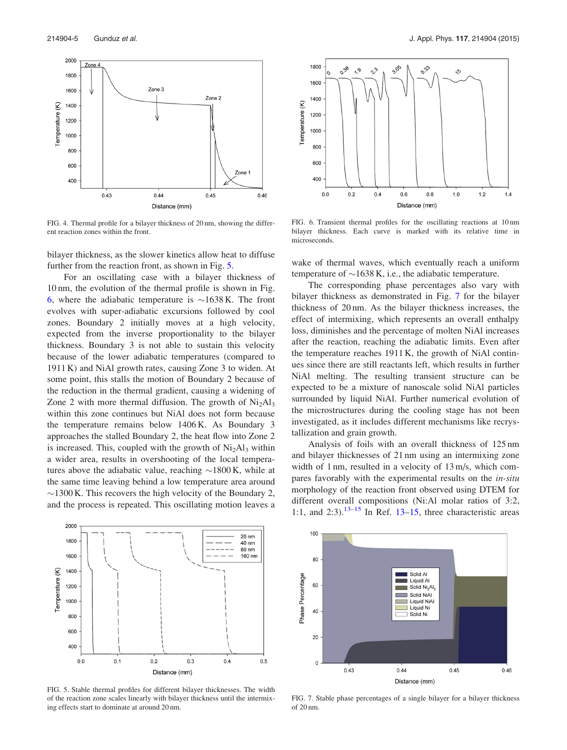<span id="page-6-0"></span>

FIG. 4. Thermal profile for a bilayer thickness of 20 nm, showing the different reaction zones within the front.

bilayer thickness, as the slower kinetics allow heat to diffuse further from the reaction front, as shown in Fig. 5.

For an oscillating case with a bilayer thickness of 10 nm, the evolution of the thermal profile is shown in Fig. 6, where the adiabatic temperature is  $\sim$ 1638 K. The front evolves with super-adiabatic excursions followed by cool zones. Boundary 2 initially moves at a high velocity, expected from the inverse proportionality to the bilayer thickness. Boundary 3 is not able to sustain this velocity because of the lower adiabatic temperatures (compared to 1911 K) and NiAl growth rates, causing Zone 3 to widen. At some point, this stalls the motion of Boundary 2 because of the reduction in the thermal gradient, causing a widening of Zone 2 with more thermal diffusion. The growth of  $Ni<sub>2</sub>Al<sub>3</sub>$ within this zone continues but NiAl does not form because the temperature remains below 1406 K. As Boundary 3 approaches the stalled Boundary 2, the heat flow into Zone 2 is increased. This, coupled with the growth of  $Ni<sub>2</sub>Al<sub>3</sub>$  within a wider area, results in overshooting of the local temperatures above the adiabatic value, reaching  $\sim$ 1800 K, while at the same time leaving behind a low temperature area around  $\sim$ 1300 K. This recovers the high velocity of the Boundary 2, and the process is repeated. This oscillating motion leaves a



FIG. 5. Stable thermal profiles for different bilayer thicknesses. The width of the reaction zone scales linearly with bilayer thickness until the intermixing effects start to dominate at around 20 nm.



FIG. 6. Transient thermal profiles for the oscillating reactions at 10 nm bilayer thickness. Each curve is marked with its relative time in microseconds.

wake of thermal waves, which eventually reach a uniform temperature of  $\sim$ 1638 K, i.e., the adiabatic temperature.

The corresponding phase percentages also vary with bilayer thickness as demonstrated in Fig. 7 for the bilayer thickness of 20 nm. As the bilayer thickness increases, the effect of intermixing, which represents an overall enthalpy loss, diminishes and the percentage of molten NiAl increases after the reaction, reaching the adiabatic limits. Even after the temperature reaches 1911 K, the growth of NiAl continues since there are still reactants left, which results in further NiAl melting. The resulting transient structure can be expected to be a mixture of nanoscale solid NiAl particles surrounded by liquid NiAl. Further numerical evolution of the microstructures during the cooling stage has not been investigated, as it includes different mechanisms like recrystallization and grain growth.

Analysis of foils with an overall thickness of 125 nm and bilayer thicknesses of 21 nm using an intermixing zone width of 1 nm, resulted in a velocity of 13 m/s, which compares favorably with the experimental results on the in-situ morphology of the reaction front observed using DTEM for different overall compositions (Ni:Al molar ratios of 3:2, 1:1, and 2:3).<sup>[13–15](#page-7-0)</sup> In Ref. 13–15, three characteristic areas



FIG. 7. Stable phase percentages of a single bilayer for a bilayer thickness of 20 nm.